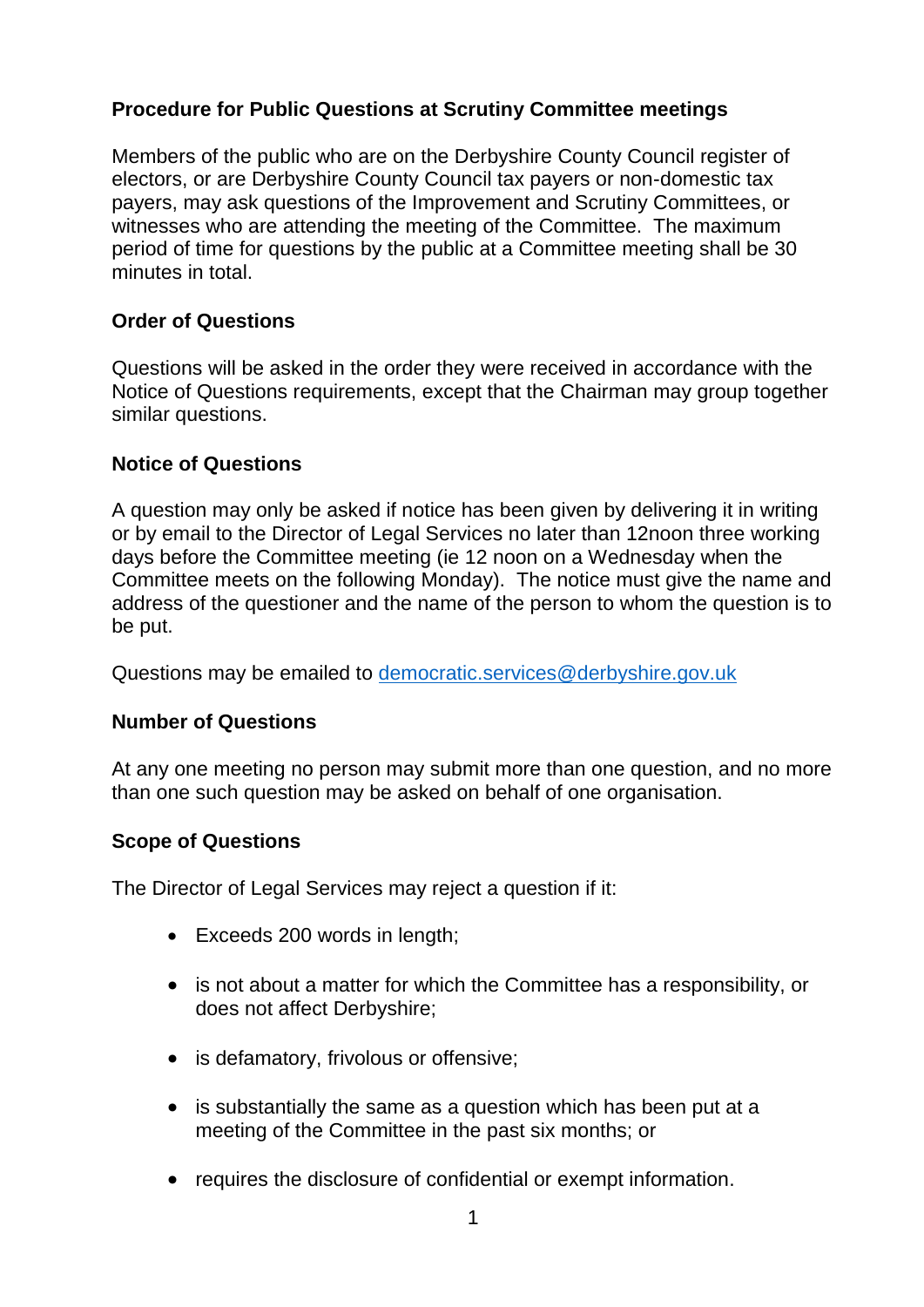# **Procedure for Public Questions at Scrutiny Committee meetings**

Members of the public who are on the Derbyshire County Council register of electors, or are Derbyshire County Council tax payers or non-domestic tax payers, may ask questions of the Improvement and Scrutiny Committees, or witnesses who are attending the meeting of the Committee. The maximum period of time for questions by the public at a Committee meeting shall be 30 minutes in total.

# **Order of Questions**

Questions will be asked in the order they were received in accordance with the Notice of Questions requirements, except that the Chairman may group together similar questions.

#### **Notice of Questions**

A question may only be asked if notice has been given by delivering it in writing or by email to the Director of Legal Services no later than 12noon three working days before the Committee meeting (ie 12 noon on a Wednesday when the Committee meets on the following Monday). The notice must give the name and address of the questioner and the name of the person to whom the question is to be put.

Questions may be emailed to [democratic.services@derbyshire.gov.uk](mailto:democratic.services@derbyshire.gov.uk)

# **Number of Questions**

At any one meeting no person may submit more than one question, and no more than one such question may be asked on behalf of one organisation.

# **Scope of Questions**

The Director of Legal Services may reject a question if it:

- Exceeds 200 words in length;
- is not about a matter for which the Committee has a responsibility, or does not affect Derbyshire;
- is defamatory, frivolous or offensive;
- is substantially the same as a question which has been put at a meeting of the Committee in the past six months; or
- requires the disclosure of confidential or exempt information.